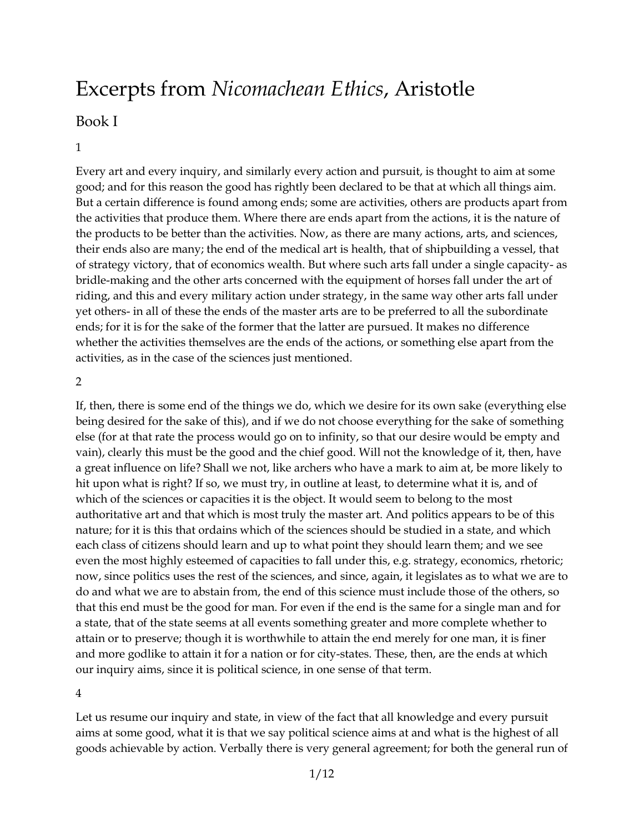# Excerpts from *Nicomachean Ethics*, Aristotle

# Book I

### 1

Every art and every inquiry, and similarly every action and pursuit, is thought to aim at some good; and for this reason the good has rightly been declared to be that at which all things aim. But a certain difference is found among ends; some are activities, others are products apart from the activities that produce them. Where there are ends apart from the actions, it is the nature of the products to be better than the activities. Now, as there are many actions, arts, and sciences, their ends also are many; the end of the medical art is health, that of shipbuilding a vessel, that of strategy victory, that of economics wealth. But where such arts fall under a single capacity- as bridle-making and the other arts concerned with the equipment of horses fall under the art of riding, and this and every military action under strategy, in the same way other arts fall under yet others- in all of these the ends of the master arts are to be preferred to all the subordinate ends; for it is for the sake of the former that the latter are pursued. It makes no difference whether the activities themselves are the ends of the actions, or something else apart from the activities, as in the case of the sciences just mentioned.

## 2

If, then, there is some end of the things we do, which we desire for its own sake (everything else being desired for the sake of this), and if we do not choose everything for the sake of something else (for at that rate the process would go on to infinity, so that our desire would be empty and vain), clearly this must be the good and the chief good. Will not the knowledge of it, then, have a great influence on life? Shall we not, like archers who have a mark to aim at, be more likely to hit upon what is right? If so, we must try, in outline at least, to determine what it is, and of which of the sciences or capacities it is the object. It would seem to belong to the most authoritative art and that which is most truly the master art. And politics appears to be of this nature; for it is this that ordains which of the sciences should be studied in a state, and which each class of citizens should learn and up to what point they should learn them; and we see even the most highly esteemed of capacities to fall under this, e.g. strategy, economics, rhetoric; now, since politics uses the rest of the sciences, and since, again, it legislates as to what we are to do and what we are to abstain from, the end of this science must include those of the others, so that this end must be the good for man. For even if the end is the same for a single man and for a state, that of the state seems at all events something greater and more complete whether to attain or to preserve; though it is worthwhile to attain the end merely for one man, it is finer and more godlike to attain it for a nation or for city-states. These, then, are the ends at which our inquiry aims, since it is political science, in one sense of that term.

#### 4

Let us resume our inquiry and state, in view of the fact that all knowledge and every pursuit aims at some good, what it is that we say political science aims at and what is the highest of all goods achievable by action. Verbally there is very general agreement; for both the general run of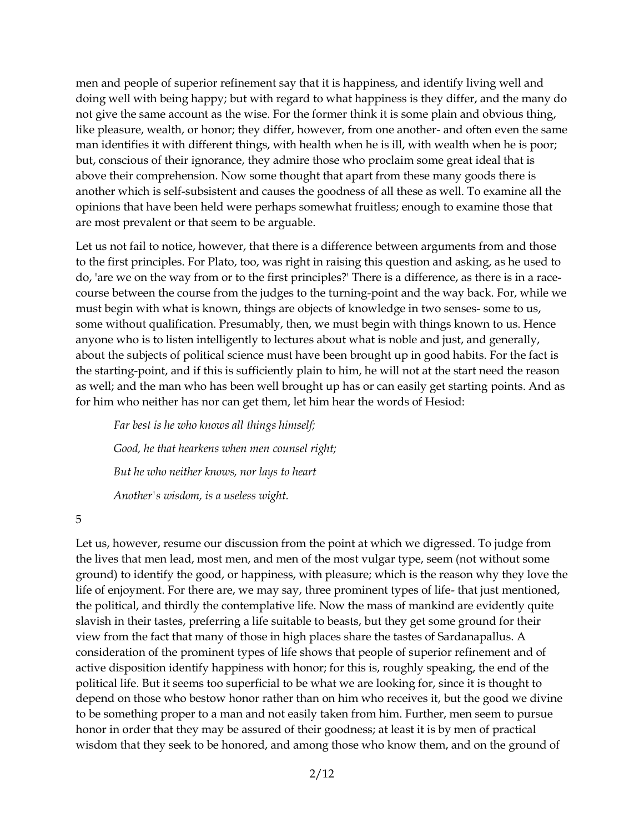men and people of superior refinement say that it is happiness, and identify living well and doing well with being happy; but with regard to what happiness is they differ, and the many do not give the same account as the wise. For the former think it is some plain and obvious thing, like pleasure, wealth, or honor; they differ, however, from one another- and often even the same man identifies it with different things, with health when he is ill, with wealth when he is poor; but, conscious of their ignorance, they admire those who proclaim some great ideal that is above their comprehension. Now some thought that apart from these many goods there is another which is self-subsistent and causes the goodness of all these as well. To examine all the opinions that have been held were perhaps somewhat fruitless; enough to examine those that are most prevalent or that seem to be arguable.

Let us not fail to notice, however, that there is a difference between arguments from and those to the first principles. For Plato, too, was right in raising this question and asking, as he used to do, 'are we on the way from or to the first principles?' There is a difference, as there is in a racecourse between the course from the judges to the turning-point and the way back. For, while we must begin with what is known, things are objects of knowledge in two senses- some to us, some without qualification. Presumably, then, we must begin with things known to us. Hence anyone who is to listen intelligently to lectures about what is noble and just, and generally, about the subjects of political science must have been brought up in good habits. For the fact is the starting-point, and if this is sufficiently plain to him, he will not at the start need the reason as well; and the man who has been well brought up has or can easily get starting points. And as for him who neither has nor can get them, let him hear the words of Hesiod:

*Far best is he who knows all things himself; Good, he that hearkens when men counsel right; But he who neither knows, nor lays to heart Another's wisdom, is a useless wight.*

5

Let us, however, resume our discussion from the point at which we digressed. To judge from the lives that men lead, most men, and men of the most vulgar type, seem (not without some ground) to identify the good, or happiness, with pleasure; which is the reason why they love the life of enjoyment. For there are, we may say, three prominent types of life- that just mentioned, the political, and thirdly the contemplative life. Now the mass of mankind are evidently quite slavish in their tastes, preferring a life suitable to beasts, but they get some ground for their view from the fact that many of those in high places share the tastes of Sardanapallus. A consideration of the prominent types of life shows that people of superior refinement and of active disposition identify happiness with honor; for this is, roughly speaking, the end of the political life. But it seems too superficial to be what we are looking for, since it is thought to depend on those who bestow honor rather than on him who receives it, but the good we divine to be something proper to a man and not easily taken from him. Further, men seem to pursue honor in order that they may be assured of their goodness; at least it is by men of practical wisdom that they seek to be honored, and among those who know them, and on the ground of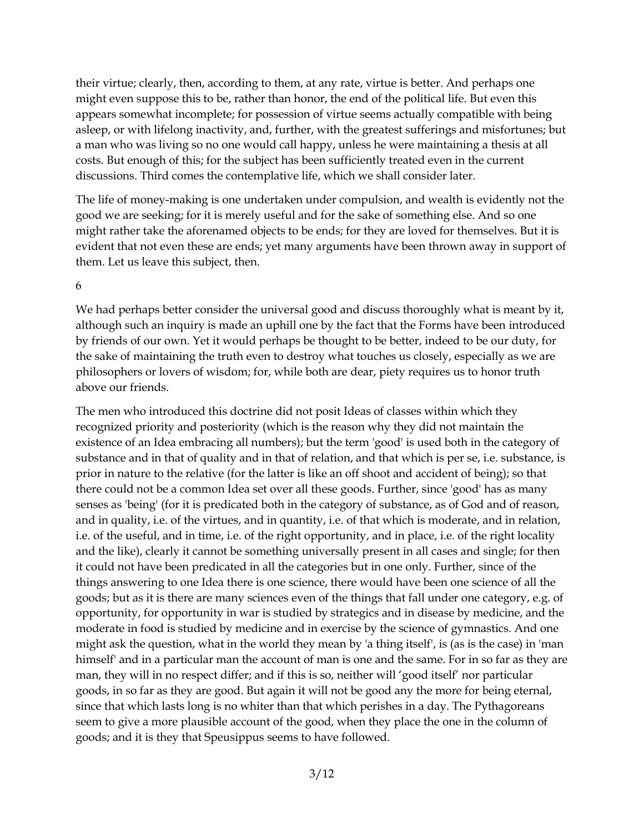their virtue; clearly, then, according to them, at any rate, virtue is better. And perhaps one might even suppose this to be, rather than honor, the end of the political life. But even this appears somewhat incomplete; for possession of virtue seems actually compatible with being asleep, or with lifelong inactivity, and, further, with the greatest sufferings and misfortunes; but a man who was living so no one would call happy, unless he were maintaining a thesis at all costs. But enough of this; for the subject has been sufficiently treated even in the current discussions. Third comes the contemplative life, which we shall consider later.

The life of money-making is one undertaken under compulsion, and wealth is evidently not the good we are seeking; for it is merely useful and for the sake of something else. And so one might rather take the aforenamed objects to be ends; for they are loved for themselves. But it is evident that not even these are ends; yet many arguments have been thrown away in support of them. Let us leave this subject, then.

#### 6

We had perhaps better consider the universal good and discuss thoroughly what is meant by it, although such an inquiry is made an uphill one by the fact that the Forms have been introduced by friends of our own. Yet it would perhaps be thought to be better, indeed to be our duty, for the sake of maintaining the truth even to destroy what touches us closely, especially as we are philosophers or lovers of wisdom; for, while both are dear, piety requires us to honor truth above our friends.

The men who introduced this doctrine did not posit Ideas of classes within which they recognized priority and posteriority (which is the reason why they did not maintain the existence of an Idea embracing all numbers); but the term 'good' is used both in the category of substance and in that of quality and in that of relation, and that which is per se, i.e. substance, is prior in nature to the relative (for the latter is like an off shoot and accident of being); so that there could not be a common Idea set over all these goods. Further, since 'good' has as many senses as 'being' (for it is predicated both in the category of substance, as of God and of reason, and in quality, i.e. of the virtues, and in quantity, i.e. of that which is moderate, and in relation, i.e. of the useful, and in time, i.e. of the right opportunity, and in place, i.e. of the right locality and the like), clearly it cannot be something universally present in all cases and single; for then it could not have been predicated in all the categories but in one only. Further, since of the things answering to one Idea there is one science, there would have been one science of all the goods; but as it is there are many sciences even of the things that fall under one category, e.g. of opportunity, for opportunity in war is studied by strategics and in disease by medicine, and the moderate in food is studied by medicine and in exercise by the science of gymnastics. And one might ask the question, what in the world they mean by 'a thing itself', is (as is the case) in 'man himself' and in a particular man the account of man is one and the same. For in so far as they are man, they will in no respect differ; and if this is so, neither will 'good itself' nor particular goods, in so far as they are good. But again it will not be good any the more for being eternal, since that which lasts long is no whiter than that which perishes in a day. The Pythagoreans seem to give a more plausible account of the good, when they place the one in the column of goods; and it is they that Speusippus seems to have followed.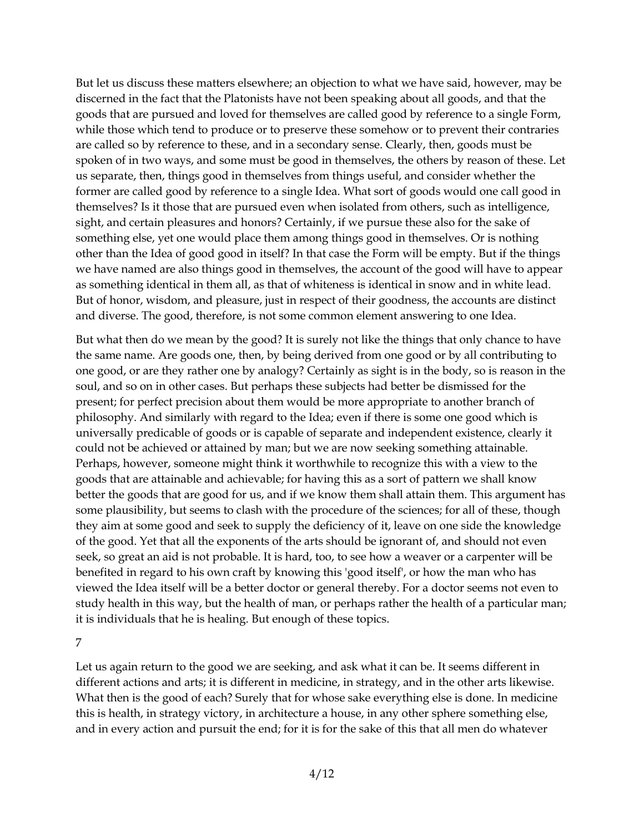But let us discuss these matters elsewhere; an objection to what we have said, however, may be discerned in the fact that the Platonists have not been speaking about all goods, and that the goods that are pursued and loved for themselves are called good by reference to a single Form, while those which tend to produce or to preserve these somehow or to prevent their contraries are called so by reference to these, and in a secondary sense. Clearly, then, goods must be spoken of in two ways, and some must be good in themselves, the others by reason of these. Let us separate, then, things good in themselves from things useful, and consider whether the former are called good by reference to a single Idea. What sort of goods would one call good in themselves? Is it those that are pursued even when isolated from others, such as intelligence, sight, and certain pleasures and honors? Certainly, if we pursue these also for the sake of something else, yet one would place them among things good in themselves. Or is nothing other than the Idea of good good in itself? In that case the Form will be empty. But if the things we have named are also things good in themselves, the account of the good will have to appear as something identical in them all, as that of whiteness is identical in snow and in white lead. But of honor, wisdom, and pleasure, just in respect of their goodness, the accounts are distinct and diverse. The good, therefore, is not some common element answering to one Idea.

But what then do we mean by the good? It is surely not like the things that only chance to have the same name. Are goods one, then, by being derived from one good or by all contributing to one good, or are they rather one by analogy? Certainly as sight is in the body, so is reason in the soul, and so on in other cases. But perhaps these subjects had better be dismissed for the present; for perfect precision about them would be more appropriate to another branch of philosophy. And similarly with regard to the Idea; even if there is some one good which is universally predicable of goods or is capable of separate and independent existence, clearly it could not be achieved or attained by man; but we are now seeking something attainable. Perhaps, however, someone might think it worthwhile to recognize this with a view to the goods that are attainable and achievable; for having this as a sort of pattern we shall know better the goods that are good for us, and if we know them shall attain them. This argument has some plausibility, but seems to clash with the procedure of the sciences; for all of these, though they aim at some good and seek to supply the deficiency of it, leave on one side the knowledge of the good. Yet that all the exponents of the arts should be ignorant of, and should not even seek, so great an aid is not probable. It is hard, too, to see how a weaver or a carpenter will be benefited in regard to his own craft by knowing this 'good itself', or how the man who has viewed the Idea itself will be a better doctor or general thereby. For a doctor seems not even to study health in this way, but the health of man, or perhaps rather the health of a particular man; it is individuals that he is healing. But enough of these topics.

## 7

Let us again return to the good we are seeking, and ask what it can be. It seems different in different actions and arts; it is different in medicine, in strategy, and in the other arts likewise. What then is the good of each? Surely that for whose sake everything else is done. In medicine this is health, in strategy victory, in architecture a house, in any other sphere something else, and in every action and pursuit the end; for it is for the sake of this that all men do whatever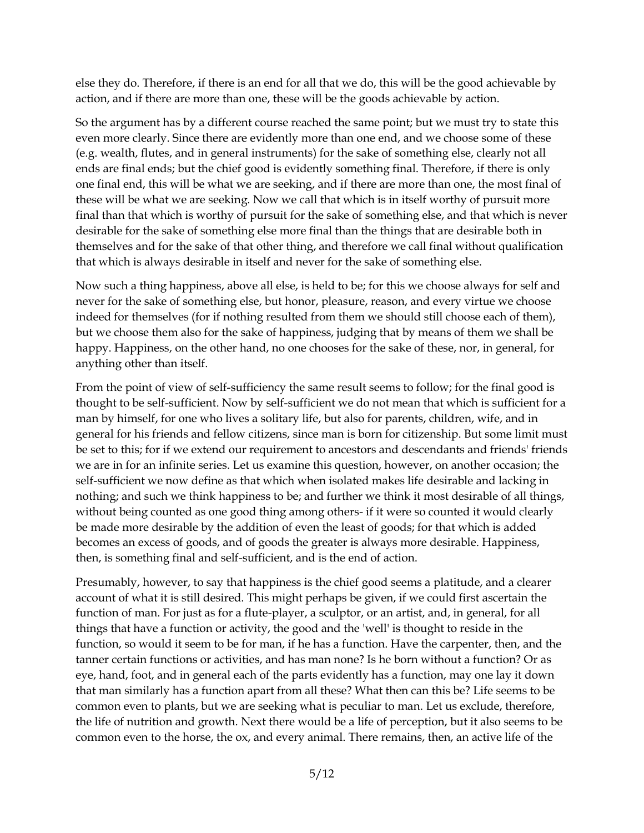else they do. Therefore, if there is an end for all that we do, this will be the good achievable by action, and if there are more than one, these will be the goods achievable by action.

So the argument has by a different course reached the same point; but we must try to state this even more clearly. Since there are evidently more than one end, and we choose some of these (e.g. wealth, flutes, and in general instruments) for the sake of something else, clearly not all ends are final ends; but the chief good is evidently something final. Therefore, if there is only one final end, this will be what we are seeking, and if there are more than one, the most final of these will be what we are seeking. Now we call that which is in itself worthy of pursuit more final than that which is worthy of pursuit for the sake of something else, and that which is never desirable for the sake of something else more final than the things that are desirable both in themselves and for the sake of that other thing, and therefore we call final without qualification that which is always desirable in itself and never for the sake of something else.

Now such a thing happiness, above all else, is held to be; for this we choose always for self and never for the sake of something else, but honor, pleasure, reason, and every virtue we choose indeed for themselves (for if nothing resulted from them we should still choose each of them), but we choose them also for the sake of happiness, judging that by means of them we shall be happy. Happiness, on the other hand, no one chooses for the sake of these, nor, in general, for anything other than itself.

From the point of view of self-sufficiency the same result seems to follow; for the final good is thought to be self-sufficient. Now by self-sufficient we do not mean that which is sufficient for a man by himself, for one who lives a solitary life, but also for parents, children, wife, and in general for his friends and fellow citizens, since man is born for citizenship. But some limit must be set to this; for if we extend our requirement to ancestors and descendants and friends' friends we are in for an infinite series. Let us examine this question, however, on another occasion; the self-sufficient we now define as that which when isolated makes life desirable and lacking in nothing; and such we think happiness to be; and further we think it most desirable of all things, without being counted as one good thing among others- if it were so counted it would clearly be made more desirable by the addition of even the least of goods; for that which is added becomes an excess of goods, and of goods the greater is always more desirable. Happiness, then, is something final and self-sufficient, and is the end of action.

Presumably, however, to say that happiness is the chief good seems a platitude, and a clearer account of what it is still desired. This might perhaps be given, if we could first ascertain the function of man. For just as for a flute-player, a sculptor, or an artist, and, in general, for all things that have a function or activity, the good and the 'well' is thought to reside in the function, so would it seem to be for man, if he has a function. Have the carpenter, then, and the tanner certain functions or activities, and has man none? Is he born without a function? Or as eye, hand, foot, and in general each of the parts evidently has a function, may one lay it down that man similarly has a function apart from all these? What then can this be? Life seems to be common even to plants, but we are seeking what is peculiar to man. Let us exclude, therefore, the life of nutrition and growth. Next there would be a life of perception, but it also seems to be common even to the horse, the ox, and every animal. There remains, then, an active life of the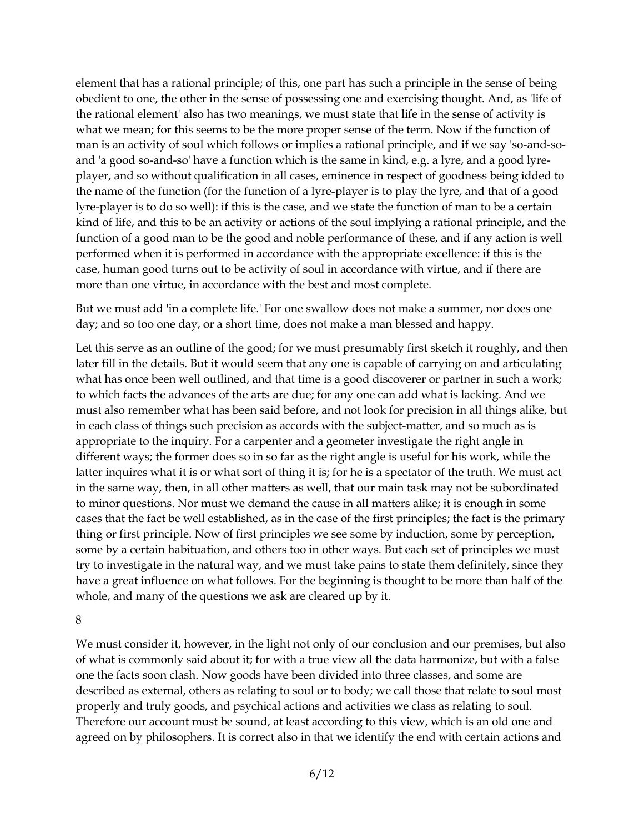element that has a rational principle; of this, one part has such a principle in the sense of being obedient to one, the other in the sense of possessing one and exercising thought. And, as 'life of the rational element' also has two meanings, we must state that life in the sense of activity is what we mean; for this seems to be the more proper sense of the term. Now if the function of man is an activity of soul which follows or implies a rational principle, and if we say 'so-and-soand 'a good so-and-so' have a function which is the same in kind, e.g. a lyre, and a good lyreplayer, and so without qualification in all cases, eminence in respect of goodness being idded to the name of the function (for the function of a lyre-player is to play the lyre, and that of a good lyre-player is to do so well): if this is the case, and we state the function of man to be a certain kind of life, and this to be an activity or actions of the soul implying a rational principle, and the function of a good man to be the good and noble performance of these, and if any action is well performed when it is performed in accordance with the appropriate excellence: if this is the case, human good turns out to be activity of soul in accordance with virtue, and if there are more than one virtue, in accordance with the best and most complete.

But we must add 'in a complete life.' For one swallow does not make a summer, nor does one day; and so too one day, or a short time, does not make a man blessed and happy.

Let this serve as an outline of the good; for we must presumably first sketch it roughly, and then later fill in the details. But it would seem that any one is capable of carrying on and articulating what has once been well outlined, and that time is a good discoverer or partner in such a work; to which facts the advances of the arts are due; for any one can add what is lacking. And we must also remember what has been said before, and not look for precision in all things alike, but in each class of things such precision as accords with the subject-matter, and so much as is appropriate to the inquiry. For a carpenter and a geometer investigate the right angle in different ways; the former does so in so far as the right angle is useful for his work, while the latter inquires what it is or what sort of thing it is; for he is a spectator of the truth. We must act in the same way, then, in all other matters as well, that our main task may not be subordinated to minor questions. Nor must we demand the cause in all matters alike; it is enough in some cases that the fact be well established, as in the case of the first principles; the fact is the primary thing or first principle. Now of first principles we see some by induction, some by perception, some by a certain habituation, and others too in other ways. But each set of principles we must try to investigate in the natural way, and we must take pains to state them definitely, since they have a great influence on what follows. For the beginning is thought to be more than half of the whole, and many of the questions we ask are cleared up by it.

8

We must consider it, however, in the light not only of our conclusion and our premises, but also of what is commonly said about it; for with a true view all the data harmonize, but with a false one the facts soon clash. Now goods have been divided into three classes, and some are described as external, others as relating to soul or to body; we call those that relate to soul most properly and truly goods, and psychical actions and activities we class as relating to soul. Therefore our account must be sound, at least according to this view, which is an old one and agreed on by philosophers. It is correct also in that we identify the end with certain actions and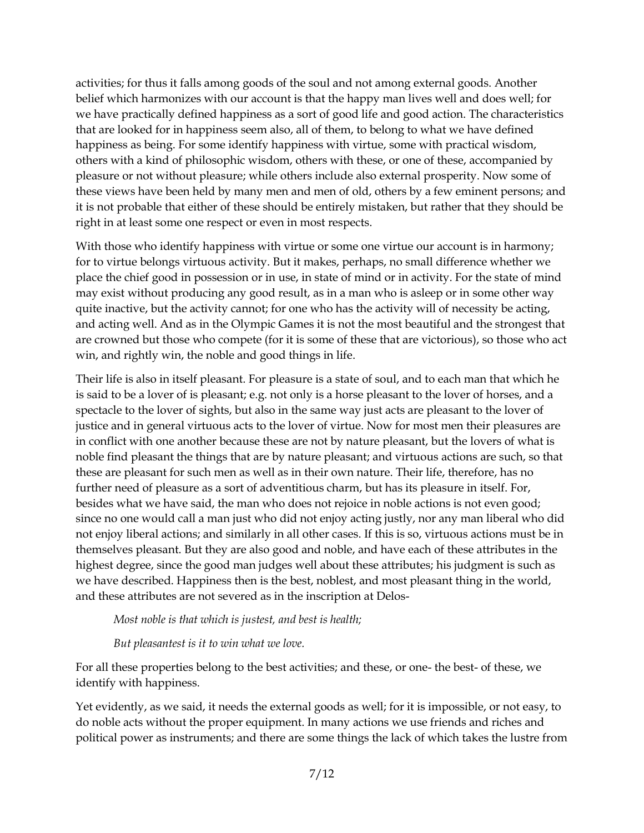activities; for thus it falls among goods of the soul and not among external goods. Another belief which harmonizes with our account is that the happy man lives well and does well; for we have practically defined happiness as a sort of good life and good action. The characteristics that are looked for in happiness seem also, all of them, to belong to what we have defined happiness as being. For some identify happiness with virtue, some with practical wisdom, others with a kind of philosophic wisdom, others with these, or one of these, accompanied by pleasure or not without pleasure; while others include also external prosperity. Now some of these views have been held by many men and men of old, others by a few eminent persons; and it is not probable that either of these should be entirely mistaken, but rather that they should be right in at least some one respect or even in most respects.

With those who identify happiness with virtue or some one virtue our account is in harmony; for to virtue belongs virtuous activity. But it makes, perhaps, no small difference whether we place the chief good in possession or in use, in state of mind or in activity. For the state of mind may exist without producing any good result, as in a man who is asleep or in some other way quite inactive, but the activity cannot; for one who has the activity will of necessity be acting, and acting well. And as in the Olympic Games it is not the most beautiful and the strongest that are crowned but those who compete (for it is some of these that are victorious), so those who act win, and rightly win, the noble and good things in life.

Their life is also in itself pleasant. For pleasure is a state of soul, and to each man that which he is said to be a lover of is pleasant; e.g. not only is a horse pleasant to the lover of horses, and a spectacle to the lover of sights, but also in the same way just acts are pleasant to the lover of justice and in general virtuous acts to the lover of virtue. Now for most men their pleasures are in conflict with one another because these are not by nature pleasant, but the lovers of what is noble find pleasant the things that are by nature pleasant; and virtuous actions are such, so that these are pleasant for such men as well as in their own nature. Their life, therefore, has no further need of pleasure as a sort of adventitious charm, but has its pleasure in itself. For, besides what we have said, the man who does not rejoice in noble actions is not even good; since no one would call a man just who did not enjoy acting justly, nor any man liberal who did not enjoy liberal actions; and similarly in all other cases. If this is so, virtuous actions must be in themselves pleasant. But they are also good and noble, and have each of these attributes in the highest degree, since the good man judges well about these attributes; his judgment is such as we have described. Happiness then is the best, noblest, and most pleasant thing in the world, and these attributes are not severed as in the inscription at Delos-

## *Most noble is that which is justest, and best is health;*

## *But pleasantest is it to win what we love.*

For all these properties belong to the best activities; and these, or one- the best- of these, we identify with happiness.

Yet evidently, as we said, it needs the external goods as well; for it is impossible, or not easy, to do noble acts without the proper equipment. In many actions we use friends and riches and political power as instruments; and there are some things the lack of which takes the lustre from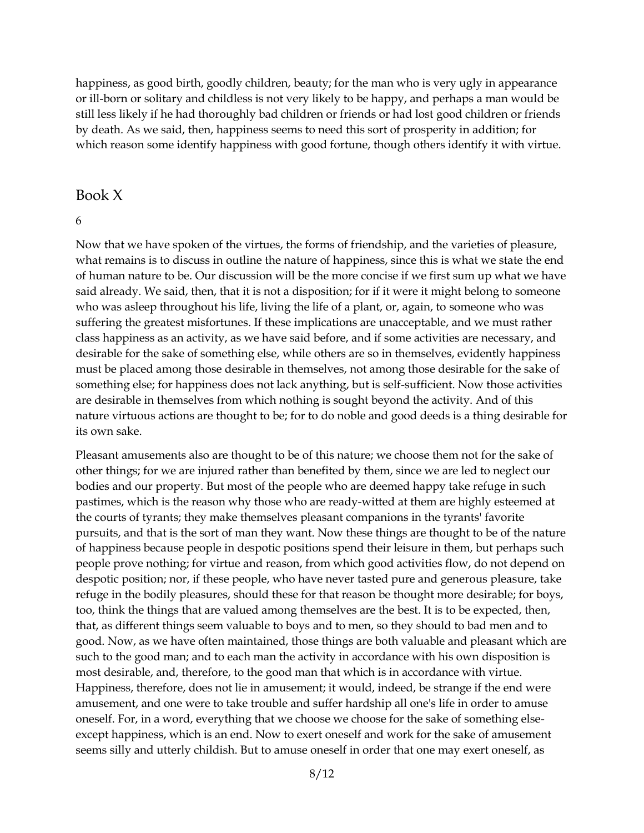happiness, as good birth, goodly children, beauty; for the man who is very ugly in appearance or ill-born or solitary and childless is not very likely to be happy, and perhaps a man would be still less likely if he had thoroughly bad children or friends or had lost good children or friends by death. As we said, then, happiness seems to need this sort of prosperity in addition; for which reason some identify happiness with good fortune, though others identify it with virtue.

## Book X

#### 6

Now that we have spoken of the virtues, the forms of friendship, and the varieties of pleasure, what remains is to discuss in outline the nature of happiness, since this is what we state the end of human nature to be. Our discussion will be the more concise if we first sum up what we have said already. We said, then, that it is not a disposition; for if it were it might belong to someone who was asleep throughout his life, living the life of a plant, or, again, to someone who was suffering the greatest misfortunes. If these implications are unacceptable, and we must rather class happiness as an activity, as we have said before, and if some activities are necessary, and desirable for the sake of something else, while others are so in themselves, evidently happiness must be placed among those desirable in themselves, not among those desirable for the sake of something else; for happiness does not lack anything, but is self-sufficient. Now those activities are desirable in themselves from which nothing is sought beyond the activity. And of this nature virtuous actions are thought to be; for to do noble and good deeds is a thing desirable for its own sake.

Pleasant amusements also are thought to be of this nature; we choose them not for the sake of other things; for we are injured rather than benefited by them, since we are led to neglect our bodies and our property. But most of the people who are deemed happy take refuge in such pastimes, which is the reason why those who are ready-witted at them are highly esteemed at the courts of tyrants; they make themselves pleasant companions in the tyrants' favorite pursuits, and that is the sort of man they want. Now these things are thought to be of the nature of happiness because people in despotic positions spend their leisure in them, but perhaps such people prove nothing; for virtue and reason, from which good activities flow, do not depend on despotic position; nor, if these people, who have never tasted pure and generous pleasure, take refuge in the bodily pleasures, should these for that reason be thought more desirable; for boys, too, think the things that are valued among themselves are the best. It is to be expected, then, that, as different things seem valuable to boys and to men, so they should to bad men and to good. Now, as we have often maintained, those things are both valuable and pleasant which are such to the good man; and to each man the activity in accordance with his own disposition is most desirable, and, therefore, to the good man that which is in accordance with virtue. Happiness, therefore, does not lie in amusement; it would, indeed, be strange if the end were amusement, and one were to take trouble and suffer hardship all one's life in order to amuse oneself. For, in a word, everything that we choose we choose for the sake of something elseexcept happiness, which is an end. Now to exert oneself and work for the sake of amusement seems silly and utterly childish. But to amuse oneself in order that one may exert oneself, as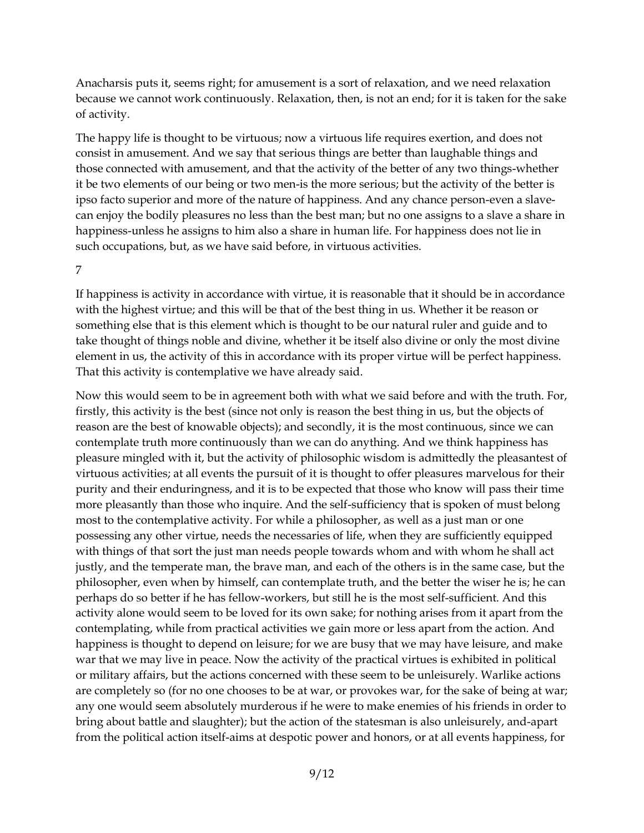Anacharsis puts it, seems right; for amusement is a sort of relaxation, and we need relaxation because we cannot work continuously. Relaxation, then, is not an end; for it is taken for the sake of activity.

The happy life is thought to be virtuous; now a virtuous life requires exertion, and does not consist in amusement. And we say that serious things are better than laughable things and those connected with amusement, and that the activity of the better of any two things-whether it be two elements of our being or two men-is the more serious; but the activity of the better is ipso facto superior and more of the nature of happiness. And any chance person-even a slavecan enjoy the bodily pleasures no less than the best man; but no one assigns to a slave a share in happiness-unless he assigns to him also a share in human life. For happiness does not lie in such occupations, but, as we have said before, in virtuous activities.

#### 7

If happiness is activity in accordance with virtue, it is reasonable that it should be in accordance with the highest virtue; and this will be that of the best thing in us. Whether it be reason or something else that is this element which is thought to be our natural ruler and guide and to take thought of things noble and divine, whether it be itself also divine or only the most divine element in us, the activity of this in accordance with its proper virtue will be perfect happiness. That this activity is contemplative we have already said.

Now this would seem to be in agreement both with what we said before and with the truth. For, firstly, this activity is the best (since not only is reason the best thing in us, but the objects of reason are the best of knowable objects); and secondly, it is the most continuous, since we can contemplate truth more continuously than we can do anything. And we think happiness has pleasure mingled with it, but the activity of philosophic wisdom is admittedly the pleasantest of virtuous activities; at all events the pursuit of it is thought to offer pleasures marvelous for their purity and their enduringness, and it is to be expected that those who know will pass their time more pleasantly than those who inquire. And the self-sufficiency that is spoken of must belong most to the contemplative activity. For while a philosopher, as well as a just man or one possessing any other virtue, needs the necessaries of life, when they are sufficiently equipped with things of that sort the just man needs people towards whom and with whom he shall act justly, and the temperate man, the brave man, and each of the others is in the same case, but the philosopher, even when by himself, can contemplate truth, and the better the wiser he is; he can perhaps do so better if he has fellow-workers, but still he is the most self-sufficient. And this activity alone would seem to be loved for its own sake; for nothing arises from it apart from the contemplating, while from practical activities we gain more or less apart from the action. And happiness is thought to depend on leisure; for we are busy that we may have leisure, and make war that we may live in peace. Now the activity of the practical virtues is exhibited in political or military affairs, but the actions concerned with these seem to be unleisurely. Warlike actions are completely so (for no one chooses to be at war, or provokes war, for the sake of being at war; any one would seem absolutely murderous if he were to make enemies of his friends in order to bring about battle and slaughter); but the action of the statesman is also unleisurely, and-apart from the political action itself-aims at despotic power and honors, or at all events happiness, for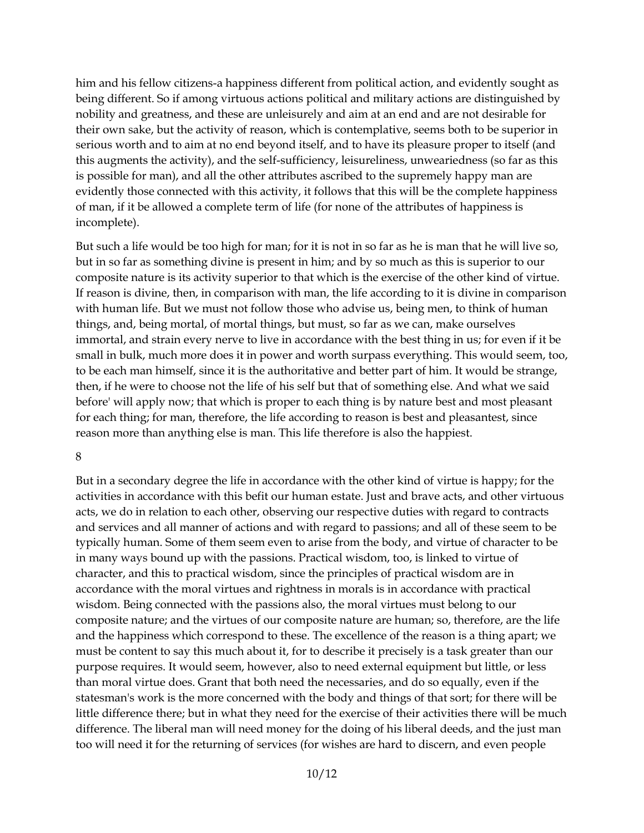him and his fellow citizens-a happiness different from political action, and evidently sought as being different. So if among virtuous actions political and military actions are distinguished by nobility and greatness, and these are unleisurely and aim at an end and are not desirable for their own sake, but the activity of reason, which is contemplative, seems both to be superior in serious worth and to aim at no end beyond itself, and to have its pleasure proper to itself (and this augments the activity), and the self-sufficiency, leisureliness, unweariedness (so far as this is possible for man), and all the other attributes ascribed to the supremely happy man are evidently those connected with this activity, it follows that this will be the complete happiness of man, if it be allowed a complete term of life (for none of the attributes of happiness is incomplete).

But such a life would be too high for man; for it is not in so far as he is man that he will live so, but in so far as something divine is present in him; and by so much as this is superior to our composite nature is its activity superior to that which is the exercise of the other kind of virtue. If reason is divine, then, in comparison with man, the life according to it is divine in comparison with human life. But we must not follow those who advise us, being men, to think of human things, and, being mortal, of mortal things, but must, so far as we can, make ourselves immortal, and strain every nerve to live in accordance with the best thing in us; for even if it be small in bulk, much more does it in power and worth surpass everything. This would seem, too, to be each man himself, since it is the authoritative and better part of him. It would be strange, then, if he were to choose not the life of his self but that of something else. And what we said before' will apply now; that which is proper to each thing is by nature best and most pleasant for each thing; for man, therefore, the life according to reason is best and pleasantest, since reason more than anything else is man. This life therefore is also the happiest.

#### 8

But in a secondary degree the life in accordance with the other kind of virtue is happy; for the activities in accordance with this befit our human estate. Just and brave acts, and other virtuous acts, we do in relation to each other, observing our respective duties with regard to contracts and services and all manner of actions and with regard to passions; and all of these seem to be typically human. Some of them seem even to arise from the body, and virtue of character to be in many ways bound up with the passions. Practical wisdom, too, is linked to virtue of character, and this to practical wisdom, since the principles of practical wisdom are in accordance with the moral virtues and rightness in morals is in accordance with practical wisdom. Being connected with the passions also, the moral virtues must belong to our composite nature; and the virtues of our composite nature are human; so, therefore, are the life and the happiness which correspond to these. The excellence of the reason is a thing apart; we must be content to say this much about it, for to describe it precisely is a task greater than our purpose requires. It would seem, however, also to need external equipment but little, or less than moral virtue does. Grant that both need the necessaries, and do so equally, even if the statesman's work is the more concerned with the body and things of that sort; for there will be little difference there; but in what they need for the exercise of their activities there will be much difference. The liberal man will need money for the doing of his liberal deeds, and the just man too will need it for the returning of services (for wishes are hard to discern, and even people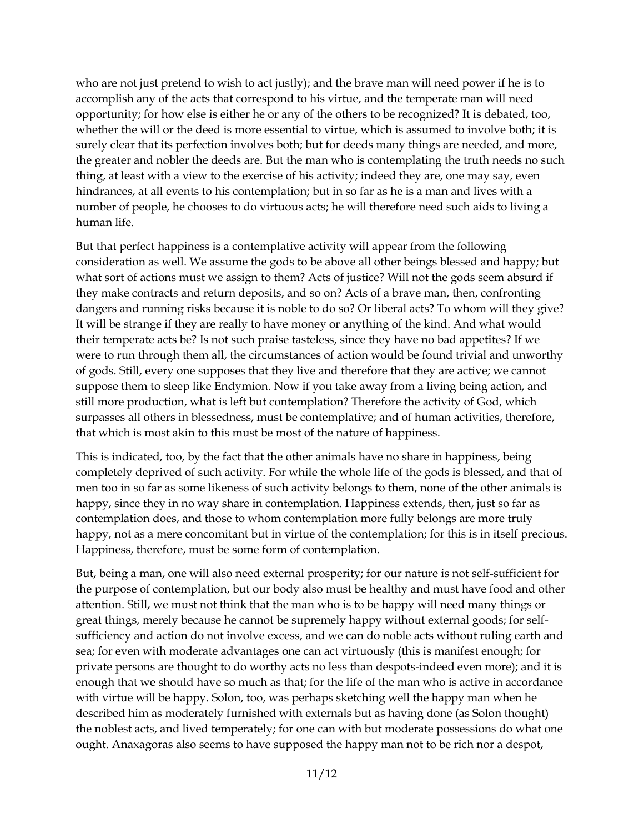who are not just pretend to wish to act justly); and the brave man will need power if he is to accomplish any of the acts that correspond to his virtue, and the temperate man will need opportunity; for how else is either he or any of the others to be recognized? It is debated, too, whether the will or the deed is more essential to virtue, which is assumed to involve both; it is surely clear that its perfection involves both; but for deeds many things are needed, and more, the greater and nobler the deeds are. But the man who is contemplating the truth needs no such thing, at least with a view to the exercise of his activity; indeed they are, one may say, even hindrances, at all events to his contemplation; but in so far as he is a man and lives with a number of people, he chooses to do virtuous acts; he will therefore need such aids to living a human life.

But that perfect happiness is a contemplative activity will appear from the following consideration as well. We assume the gods to be above all other beings blessed and happy; but what sort of actions must we assign to them? Acts of justice? Will not the gods seem absurd if they make contracts and return deposits, and so on? Acts of a brave man, then, confronting dangers and running risks because it is noble to do so? Or liberal acts? To whom will they give? It will be strange if they are really to have money or anything of the kind. And what would their temperate acts be? Is not such praise tasteless, since they have no bad appetites? If we were to run through them all, the circumstances of action would be found trivial and unworthy of gods. Still, every one supposes that they live and therefore that they are active; we cannot suppose them to sleep like Endymion. Now if you take away from a living being action, and still more production, what is left but contemplation? Therefore the activity of God, which surpasses all others in blessedness, must be contemplative; and of human activities, therefore, that which is most akin to this must be most of the nature of happiness.

This is indicated, too, by the fact that the other animals have no share in happiness, being completely deprived of such activity. For while the whole life of the gods is blessed, and that of men too in so far as some likeness of such activity belongs to them, none of the other animals is happy, since they in no way share in contemplation. Happiness extends, then, just so far as contemplation does, and those to whom contemplation more fully belongs are more truly happy, not as a mere concomitant but in virtue of the contemplation; for this is in itself precious. Happiness, therefore, must be some form of contemplation.

But, being a man, one will also need external prosperity; for our nature is not self-sufficient for the purpose of contemplation, but our body also must be healthy and must have food and other attention. Still, we must not think that the man who is to be happy will need many things or great things, merely because he cannot be supremely happy without external goods; for selfsufficiency and action do not involve excess, and we can do noble acts without ruling earth and sea; for even with moderate advantages one can act virtuously (this is manifest enough; for private persons are thought to do worthy acts no less than despots-indeed even more); and it is enough that we should have so much as that; for the life of the man who is active in accordance with virtue will be happy. Solon, too, was perhaps sketching well the happy man when he described him as moderately furnished with externals but as having done (as Solon thought) the noblest acts, and lived temperately; for one can with but moderate possessions do what one ought. Anaxagoras also seems to have supposed the happy man not to be rich nor a despot,